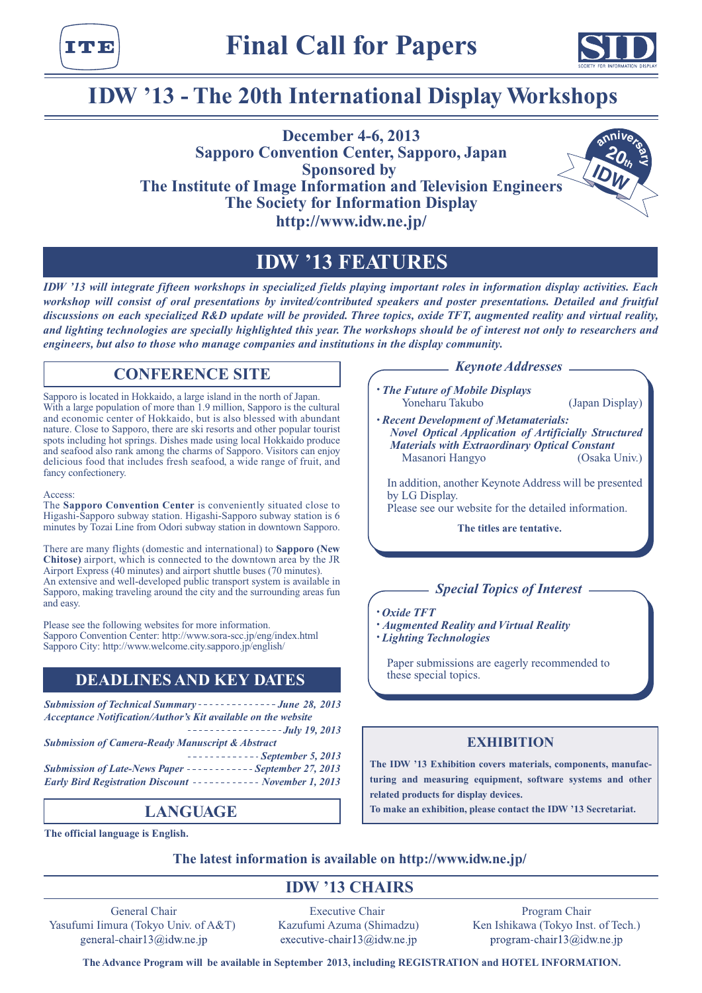



# **IDW '13 - The 20th International Display Workshops**

**December 4-6, 2013 Sapporo Convention Center, Sapporo, Japan Sponsored by The Institute of Image Information and Television Engineers The Society for Information Display http://www.idw.ne.jp/ IDW 20th anniverse** 

# **IDW '13 FEATURES**

*IDW '13 will integrate fifteen workshops in specialized fields playing important roles in information display activities. Each workshop will consist of oral presentations by invited/contributed speakers and poster presentations. Detailed and fruitful discussions on each specialized R&D update will be provided. Three topics, oxide TFT, augmented reality and virtual reality, and lighting technologies are specially highlighted this year. The workshops should be of interest not only to researchers and engineers, but also to those who manage companies and institutions in the display community.*

# **CONFERENCE SITE**

Sapporo is located in Hokkaido, a large island in the north of Japan. With a large population of more than 1.9 million, Sapporo is the cultural and economic center of Hokkaido, but is also blessed with abundant nature. Close to Sapporo, there are ski resorts and other popular tourist spots including hot springs. Dishes made using local Hokkaido produce and seafood also rank among the charms of Sapporo. Visitors can enjoy delicious food that includes fresh seafood, a wide range of fruit, and fancy confectionery.

#### Access:

The **Sapporo Convention Center** is conveniently situated close to Higashi-Sapporo subway station. Higashi-Sapporo subway station is 6 minutes by Tozai Line from Odori subway station in downtown Sapporo.

There are many flights (domestic and international) to **Sapporo (New Chitose)** airport, which is connected to the downtown area by the JR Airport Express (40 minutes) and airport shuttle buses (70 minutes). An extensive and well-developed public transport system is available in Sapporo, making traveling around the city and the surrounding areas fun and easy.

Please see the following websites for more information. Sapporo Convention Center: http://www.sora-scc.jp/eng/index.html Sapporo City: http://www.welcome.city.sapporo.jp/english/

# **DEADLINES AND KEY DATES**

**Submission of Technical Summary - - - - - - - - - - - - - June 28, 2013** *Acceptance Notification/Author's Kit available on the website July 19, 2013 Submission of Camera-Ready Manuscript & Abstract September 5, 2013* **Submission of Late-News Paper - - - - - - - - - - - - September 27, 2013** *Early Bird Registration Discount ----------- November 1, 2013* 

# **LANGUAGE**

**The official language is English.**

#### *Keynote Addresses*

- *• The Future of Mobile Displays* Yoneharu Takubo (Japan Display)
- *• Recent Development of Metamaterials: Novel Optical Application of Artificially Structured Materials with Extraordinary Optical Constant* Masanori Hangyo

In addition, another Keynote Address will be presented by LG Display.

Please see our website for the detailed information.

**The titles are tentative.**

# *Special Topics of Interest*

*• Oxide TFT*

- *• Augmented Reality and Virtual Reality*
- *• Lighting Technologies*

Paper submissions are eagerly recommended to these special topics.

## **EXHIBITION**

**The IDW '13 Exhibition covers materials, components, manufacturing and measuring equipment, software systems and other related products for display devices.**

**To make an exhibition, please contact the IDW '13 Secretariat.**

## **The latest information is available on http://www.idw.ne.jp/**

# **IDW '13 CHAIRS**

General Chair Yasufumi Iimura (Tokyo Univ. of A&T) general-chair13@idw.ne.jp

Executive Chair Kazufumi Azuma (Shimadzu) executive-chair13@idw.ne.jp

Program Chair Ken Ishikawa (Tokyo Inst. of Tech.) program-chair13@idw.ne.jp

**The Advance Program will be available in September 2013, including REGISTRATION and HOTEL INFORMATION.**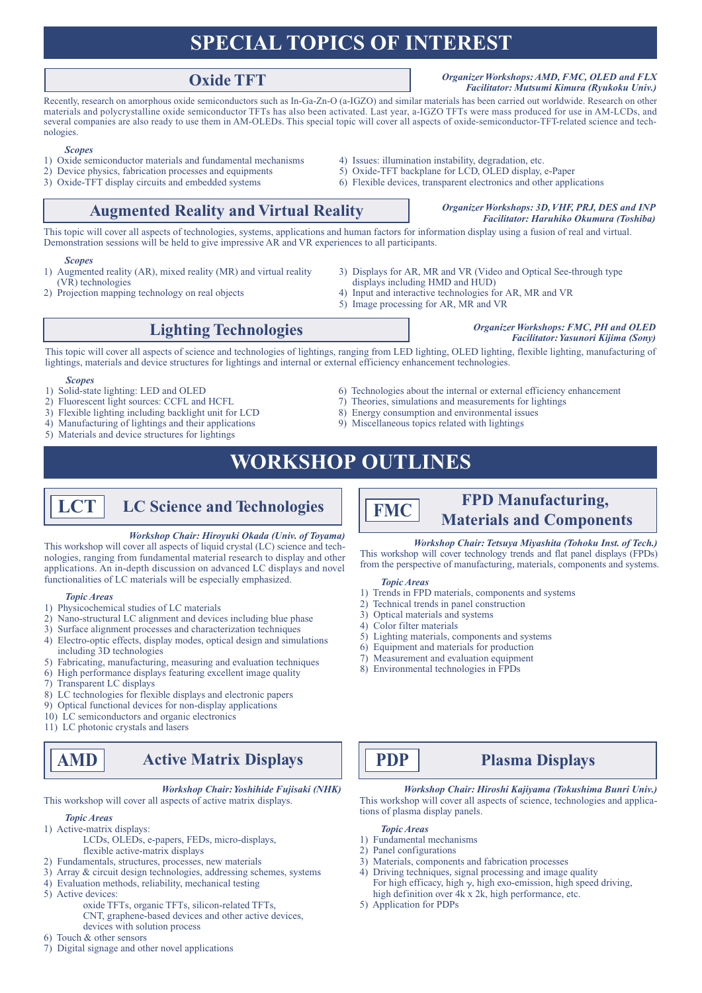# **SPECIAL TOPICS OF INTEREST**

#### **Oxide TFT** *Organizer Workshops: AMD, FMC, OLED and FLX Facilitator: Mutsumi Kimura (Ryukoku Univ.)*

Recently, research on amorphous oxide semiconductors such as In-Ga-Zn-O (a-IGZO) and similar materials has been carried out worldwide. Research on other materials and polycrystalline oxide semiconductor TFTs has also been activated. Last year, a-IGZO TFTs were mass produced for use in AM-LCDs, and several companies are also ready to use them in AM-OLEDs. This special topic will cover all aspects of oxide-semiconductor-TFT-related science and technologies.

#### *Scopes*

- 1) Oxide semiconductor materials and fundamental mechanisms 4) Issues: illumination instability, degradation, etc.
- 2) Device physics, fabrication processes and equipments 5) Oxide-TFT backplane for LCD, OLED display, e-Paper
- 3) Oxide-TFT display circuits and embedded systems 6) Flexible devices, transparent electronics and other applications
- 
- -

# **Augmented Reality and Virtual Reality** *Organizer Workshops: 3D, VHF, PRJ, DES and INP*

# *Facilitator: Haruhiko Okumura (Toshiba)*

This topic will cover all aspects of technologies, systems, applications and human factors for information display using a fusion of real and virtual. Demonstration sessions will be held to give impressive AR and VR experiences to all participants.

#### *Scopes*

- 1) Augmented reality (AR), mixed reality (MR) and virtual reality (VR) technologies
- 2) Projection mapping technology on real objects
- 3) Displays for AR, MR and VR (Video and Optical See-through type
- displays including HMD and HUD)
- 4) Input and interactive technologies for AR, MR and VR
- 5) Image processing for AR, MR and VR

# **Lighting Technologies** *Organizer Workshops: FMC, PH and OLED*

## *Facilitator: Yasunori Kijima (Sony)*

This topic will cover all aspects of science and technologies of lightings, ranging from LED lighting, OLED lighting, flexible lighting, manufacturing of lightings, materials and device structures for lightings and internal or external efficiency enhancement technologies.

#### *Scopes*

- 
- 
- 3) Flexible lighting including backlight unit for LCD 8) Energy consumption and environmental issues
- 4) Manufacturing of lightings and their applications 9) Miscellaneous topics related with lightings
- 5) Materials and device structures for lightings
- 1) Solid-state lighting: LED and OLED 6) Technologies about the internal or external efficiency enhancement 2) Fluorescent light sources: CCFL and HCFL 7) Theories, simulations and measurements for lightings
	- $2)$  Theories, simulations and measurements for lightings
	-
	-

# **WORKSHOP OUTLINES**

**LCT** LC Science and Technologies **FPD** Manufacturing,

#### *Workshop Chair: Hiroyuki Okada (Univ. of Toyama)*

This workshop will cover all aspects of liquid crystal (LC) science and technologies, ranging from fundamental material research to display and other applications. An in-depth discussion on advanced LC displays and novel functionalities of LC materials will be especially emphasized.

#### *Topic Areas*

- 1) Physicochemical studies of LC materials
- 2) Nano-structural LC alignment and devices including blue phase
- 3) Surface alignment processes and characterization techniques
- 4) Electro-optic effects, display modes, optical design and simulations including 3D technologies
- 5) Fabricating, manufacturing, measuring and evaluation techniques
- 6) High performance displays featuring excellent image quality
- 7) Transparent LC displays
- 8) LC technologies for flexible displays and electronic papers
- 9) Optical functional devices for non-display applications
- 10) LC semiconductors and organic electronics
- 11) LC photonic crystals and lasers

# **AMD Active Matrix Displays**

*Workshop Chair: Yoshihide Fujisaki (NHK)*

## This workshop will cover all aspects of active matrix displays.

#### *Topic Areas*

- 1) Active-matrix displays:
	- LCDs, OLEDs, e-papers, FEDs, micro-displays, flexible active-matrix displays
- 2) Fundamentals, structures, processes, new materials
- 3) Array & circuit design technologies, addressing schemes, systems
- 4) Evaluation methods, reliability, mechanical testing
- 5) Active devices:
	- oxide TFTs, organic TFTs, silicon-related TFTs,
		- CNT, graphene-based devices and other active devices, devices with solution process
- 6) Touch & other sensors
- 7) Digital signage and other novel applications

#### *Workshop Chair: Tetsuya Miyashita (Tohoku Inst. of Tech.)*

**Materials** and **Components** 

This workshop will cover technology trends and flat panel displays (FPDs) from the perspective of manufacturing, materials, components and systems.

#### *Topic Areas*

- 1) Trends in FPD materials, components and systems
- 2) Technical trends in panel construction
- 3) Optical materials and systems
- 4) Color filter materials
- 5) Lighting materials, components and systems
- 6) Equipment and materials for production
- 7) Measurement and evaluation equipment
- 8) Environmental technologies in FPDs

# **PDP Plasma Displays**

*Workshop Chair: Hiroshi Kajiyama (Tokushima Bunri Univ.)* This workshop will cover all aspects of science, technologies and applications of plasma display panels.

*Topic Areas*

- 1) Fundamental mechanisms
- 2) Panel configurations
- 3) Materials, components and fabrication processes
- 4) Driving techniques, signal processing and image quality For high efficacy, high  $\gamma$ , high exo-emission, high speed driving, high definition over 4k x 2k, high performance, etc.
- 5) Application for PDPs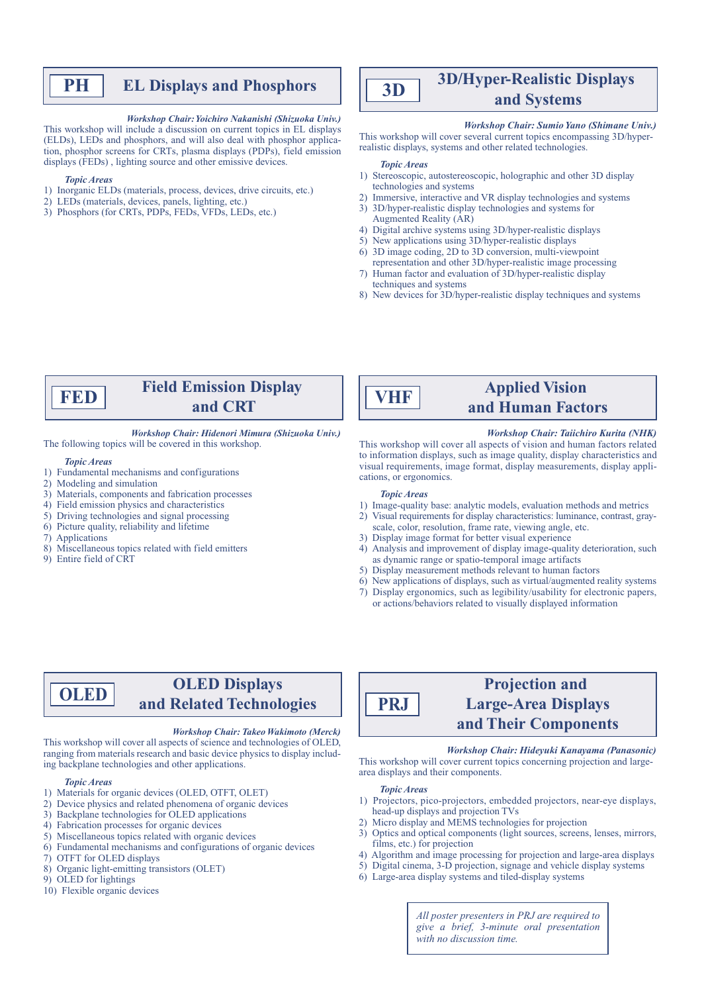# **PH EL Displays and Phosphors**

#### *Workshop Chair: Yoichiro Nakanishi (Shizuoka Univ.)*

This workshop will include a discussion on current topics in EL displays (ELDs), LEDs and phosphors, and will also deal with phosphor application, phosphor screens for CRTs, plasma displays (PDPs), field emission displays (FEDs) , lighting source and other emissive devices.

#### *Topic Areas*

- 1) Inorganic ELDs (materials, process, devices, drive circuits, etc.)
- 2) LEDs (materials, devices, panels, lighting, etc.)
- 3) Phosphors (for CRTs, PDPs, FEDs, VFDs, LEDs, etc.)

# **3D/Hyper-Realistic Displays and** Systems **3D**

#### *Workshop Chair: Sumio Yano (Shimane Univ.)*

This workshop will cover several current topics encompassing 3D/hyperrealistic displays, systems and other related technologies.

#### *Topic Areas*

- 1) Stereoscopic, autostereoscopic, holographic and other 3D display technologies and systems
- 2) Immersive, interactive and VR display technologies and systems
- 3) 3D/hyper-realistic display technologies and systems for Augmented Reality (AR)
- 4) Digital archive systems using 3D/hyper-realistic displays
- 5) New applications using 3D/hyper-realistic displays 6) 3D image coding, 2D to 3D conversion, multi-viewpoint
- representation and other 3D/hyper-realistic image processing 7) Human factor and evaluation of 3D/hyper-realistic display
- techniques and systems 8) New devices for 3D/hyper-realistic display techniques and systems

# **Field Emission Display FED** and CRT

#### *Workshop Chair: Hidenori Mimura (Shizuoka Univ.)*

The following topics will be covered in this workshop.

#### *Topic Areas*

- 1) Fundamental mechanisms and configurations
- 2) Modeling and simulation
- 3) Materials, components and fabrication processes
- 4) Field emission physics and characteristics
- 5) Driving technologies and signal processing
- 6) Picture quality, reliability and lifetime
- 7) Applications
- 8) Miscellaneous topics related with field emitters
- 9) Entire field of CRT

# **and Human Factors VHF**

#### *Workshop Chair: Taiichiro Kurita (NHK)*

**Applied Vision** 

This workshop will cover all aspects of vision and human factors related to information displays, such as image quality, display characteristics and visual requirements, image format, display measurements, display applications, or ergonomics.

#### *Topic Areas*

- 1) Image-quality base: analytic models, evaluation methods and metrics
- 2) Visual requirements for display characteristics: luminance, contrast, grayscale, color, resolution, frame rate, viewing angle, etc.
- 3) Display image format for better visual experience
- 4) Analysis and improvement of display image-quality deterioration, such as dynamic range or spatio-temporal image artifacts
- 5) Display measurement methods relevant to human factors
- 6) New applications of displays, such as virtual/augmented reality systems
- 7) Display ergonomics, such as legibility/usability for electronic papers, or actions/behaviors related to visually displayed information

# **OLED Displays and Related Technologies OLED**

#### *Workshop Chair: Takeo Wakimoto (Merck)*

This workshop will cover all aspects of science and technologies of OLED, ranging from materials research and basic device physics to display including backplane technologies and other applications.

#### *Topic Areas*

- 1) Materials for organic devices (OLED, OTFT, OLET)
- 2) Device physics and related phenomena of organic devices
- 3) Backplane technologies for OLED applications
- 4) Fabrication processes for organic devices
- 5) Miscellaneous topics related with organic devices
- 6) Fundamental mechanisms and configurations of organic devices
- 7) OTFT for OLED displays
- 8) Organic light-emitting transistors (OLET)
- 9) OLED for lightings
- 10) Flexible organic devices

# **Projection and Large-Area Displays and Their Components**

#### *Workshop Chair: Hideyuki Kanayama (Panasonic)*

This workshop will cover current topics concerning projection and largearea displays and their components.

#### *Topic Areas*

- 1) Projectors, pico-projectors, embedded projectors, near-eye displays, head-up displays and projection TVs
- 2) Micro display and MEMS technologies for projection
- 3) Optics and optical components (light sources, screens, lenses, mirrors, films, etc.) for projection
- 4) Algorithm and image processing for projection and large-area displays
- 5) Digital cinema, 3-D projection, signage and vehicle display systems
- 6) Large-area display systems and tiled-display systems

*All poster presenters in PRJ are required to give a brief, 3-minute oral presentation with no discussion time.*

**PRJ**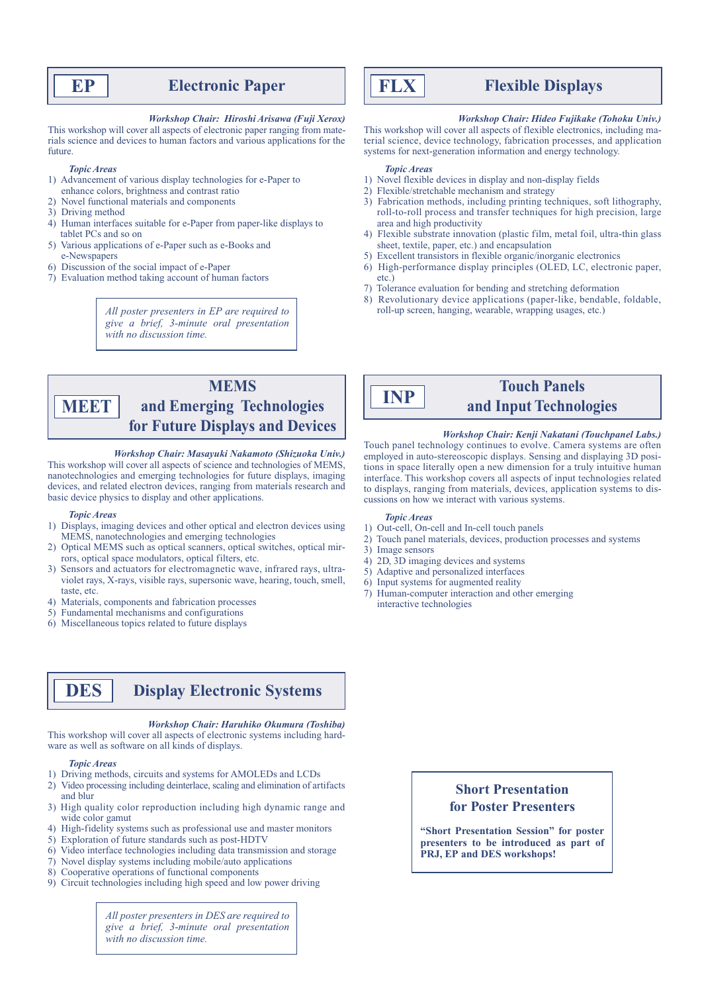# **EP Electronic Paper**

#### *Workshop Chair: Hiroshi Arisawa (Fuji Xerox)*

This workshop will cover all aspects of electronic paper ranging from materials science and devices to human factors and various applications for the future.

#### *Topic Areas*

- 1) Advancement of various display technologies for e-Paper to enhance colors, brightness and contrast ratio
- 2) Novel functional materials and components
- 3) Driving method
- 4) Human interfaces suitable for e-Paper from paper-like displays to tablet PCs and so on
- 5) Various applications of e-Paper such as e-Books and
- e-Newspapers
- 6) Discussion of the social impact of e-Paper
- 7) Evaluation method taking account of human factors

*All poster presenters in EP are required to give a brief, 3-minute oral presentation with no discussion time.*

### **MEMS and Emerging Technologies for Future Displays and Devices MEET**

#### *Workshop Chair: Masayuki Nakamoto (Shizuoka Univ.)*

This workshop will cover all aspects of science and technologies of MEMS, nanotechnologies and emerging technologies for future displays, imaging devices, and related electron devices, ranging from materials research and basic device physics to display and other applications.

#### *Topic Areas*

- 1) Displays, imaging devices and other optical and electron devices using MEMS, nanotechnologies and emerging technologies
- 2) Optical MEMS such as optical scanners, optical switches, optical mirrors, optical space modulators, optical filters, etc.
- 3) Sensors and actuators for electromagnetic wave, infrared rays, ultraviolet rays, X-rays, visible rays, supersonic wave, hearing, touch, smell, taste, etc.
- 4) Materials, components and fabrication processes
- 5) Fundamental mechanisms and configurations
- 6) Miscellaneous topics related to future displays

# **DES Display Electronic Systems**

#### *Workshop Chair: Haruhiko Okumura (Toshiba)*

This workshop will cover all aspects of electronic systems including hardware as well as software on all kinds of displays.

#### *Topic Areas*

- 1) Driving methods, circuits and systems for AMOLEDs and LCDs
- 2) Video processing including deinterlace, scaling and elimination of artifacts and blur
- 3) High quality color reproduction including high dynamic range and wide color gamut
- 4) High-fidelity systems such as professional use and master monitors
- 5) Exploration of future standards such as post-HDTV
- 6) Video interface technologies including data transmission and storage
- 7) Novel display systems including mobile/auto applications
- 8) Cooperative operations of functional components
- 9) Circuit technologies including high speed and low power driving

*All poster presenters in DES are required to give a brief, 3-minute oral presentation with no discussion time.*



# **FLX Flexible Displays**

#### *Workshop Chair: Hideo Fujikake (Tohoku Univ.)*

This workshop will cover all aspects of flexible electronics, including material science, device technology, fabrication processes, and application systems for next-generation information and energy technology.

#### *Topic Areas*

- 1) Novel flexible devices in display and non-display fields
- 2) Flexible/stretchable mechanism and strategy
- 3) Fabrication methods, including printing techniques, soft lithography, roll-to-roll process and transfer techniques for high precision, large area and high productivity
- 4) Flexible substrate innovation (plastic film, metal foil, ultra-thin glass sheet, textile, paper, etc.) and encapsulation
- 5) Excellent transistors in flexible organic/inorganic electronics
- 6) High-performance display principles (OLED, LC, electronic paper, etc.)
- 7) Tolerance evaluation for bending and stretching deformation
- 8) Revolutionary device applications (paper-like, bendable, foldable, roll-up screen, hanging, wearable, wrapping usages, etc.)



# **Touch Panels INP and Input Technologies**

#### *Workshop Chair: Kenji Nakatani (Touchpanel Labs.)*

Touch panel technology continues to evolve. Camera systems are often employed in auto-stereoscopic displays. Sensing and displaying 3D positions in space literally open a new dimension for a truly intuitive human interface. This workshop covers all aspects of input technologies related to displays, ranging from materials, devices, application systems to discussions on how we interact with various systems.

#### *Topic Areas*

- 1) Out-cell, On-cell and In-cell touch panels
- 2) Touch panel materials, devices, production processes and systems
- 3) Image sensors
- 4) 2D, 3D imaging devices and systems
- 5) Adaptive and personalized interfaces
- 6) Input systems for augmented reality
- 7) Human-computer interaction and other emerging interactive technologies

# **Short Presentation for Poster Presenters**

**"Short Presentation Session" for poster presenters to be introduced as part of PRJ, EP and DES workshops!**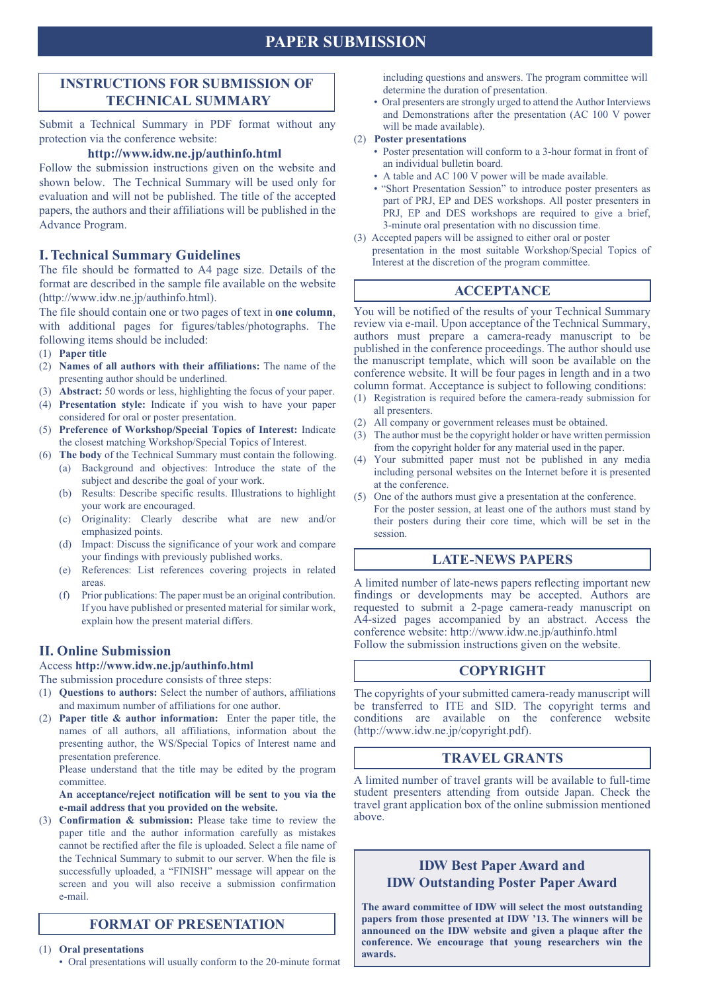# **PAPER SUBMISSION**

# **INSTRUCTIONS FOR SUBMISSION OF TECHNICAL SUMMARY**

Submit a Technical Summary in PDF format without any protection via the conference website:

#### **http://www.idw.ne.jp/authinfo.html**

Follow the submission instructions given on the website and shown below. The Technical Summary will be used only for evaluation and will not be published. The title of the accepted papers, the authors and their affiliations will be published in the Advance Program.

### **I. Technical Summary Guidelines**

The file should be formatted to A4 page size. Details of the format are described in the sample file available on the website (http://www.idw.ne.jp/authinfo.html).

The file should contain one or two pages of text in **one column**, with additional pages for figures/tables/photographs. The following items should be included:

- (1) **Paper title**
- (2) **Names of all authors with their affiliations:** The name of the presenting author should be underlined.
- (3) **Abstract:** 50 words or less, highlighting the focus of your paper.
- (4) **Presentation style:** Indicate if you wish to have your paper considered for oral or poster presentation.
- (5) **Preference of Workshop/Special Topics of Interest:** Indicate the closest matching Workshop/Special Topics of Interest.
- (6) **The body** of the Technical Summary must contain the following. (a) Background and objectives: Introduce the state of the
	- subject and describe the goal of your work. (b) Results: Describe specific results. Illustrations to highlight
		- your work are encouraged.
		- (c) Originality: Clearly describe what are new and/or emphasized points.
		- (d) Impact: Discuss the significance of your work and compare your findings with previously published works.
		- (e) References: List references covering projects in related areas.
		- (f) Prior publications: The paper must be an original contribution. If you have published or presented material for similar work, explain how the present material differs.

### **II. Online Submission**

Access **http://www.idw.ne.jp/authinfo.html**

The submission procedure consists of three steps:

- (1) **Questions to authors:** Select the number of authors, affiliations and maximum number of affiliations for one author.
- (2) **Paper title & author information:** Enter the paper title, the names of all authors, all affiliations, information about the presenting author, the WS/Special Topics of Interest name and presentation preference.

 Please understand that the title may be edited by the program committee.

#### **An acceptance/reject notification will be sent to you via the e-mail address that you provided on the website.**

(3) **Confirmation & submission:** Please take time to review the paper title and the author information carefully as mistakes cannot be rectified after the file is uploaded. Select a file name of the Technical Summary to submit to our server. When the file is successfully uploaded, a "FINISH" message will appear on the screen and you will also receive a submission confirmation e-mail.

### **FORMAT OF PRESENTATION**

(1) **Oral presentations**

• Oral presentations will usually conform to the 20-minute format

including questions and answers. The program committee will determine the duration of presentation.

• Oral presenters are strongly urged to attend the Author Interviews and Demonstrations after the presentation (AC 100 V power will be made available).

#### (2) **Poster presentations**

- Poster presentation will conform to a 3-hour format in front of an individual bulletin board.
- A table and AC 100 V power will be made available.
- "Short Presentation Session" to introduce poster presenters as part of PRJ, EP and DES workshops. All poster presenters in PRJ, EP and DES workshops are required to give a brief, 3-minute oral presentation with no discussion time.
- (3) Accepted papers will be assigned to either oral or poster presentation in the most suitable Workshop/Special Topics of Interest at the discretion of the program committee.

## **ACCEPTANCE**

You will be notified of the results of your Technical Summary review via e-mail. Upon acceptance of the Technical Summary, authors must prepare a camera-ready manuscript to be published in the conference proceedings. The author should use the manuscript template, which will soon be available on the conference website. It will be four pages in length and in a two column format. Acceptance is subject to following conditions:

- (1) Registration is required before the camera-ready submission for all presenters.
- (2) All company or government releases must be obtained.
- (3) The author must be the copyright holder or have written permission from the copyright holder for any material used in the paper.
- Your submitted paper must not be published in any media including personal websites on the Internet before it is presented at the conference.
- One of the authors must give a presentation at the conference. For the poster session, at least one of the authors must stand by their posters during their core time, which will be set in the session.

### **LATE-NEWS PAPERS**

A limited number of late-news papers reflecting important new findings or developments may be accepted. Authors are requested to submit a 2-page camera-ready manuscript on A4-sized pages accompanied by an abstract. Access the conference website: http://www.idw.ne.jp/authinfo.html Follow the submission instructions given on the website.

## **COPYRIGHT**

The copyrights of your submitted camera-ready manuscript will be transferred to ITE and SID. The copyright terms and conditions are available on the conference website (http://www.idw.ne.jp/copyright.pdf).

### **TRAVEL GRANTS**

A limited number of travel grants will be available to full-time student presenters attending from outside Japan. Check the travel grant application box of the online submission mentioned above.

# **IDW Best Paper Award and IDW Outstanding Poster Paper Award**

**The award committee of IDW will select the most outstanding papers from those presented at IDW '13. The winners will be announced on the IDW website and given a plaque after the conference. We encourage that young researchers win the awards.**